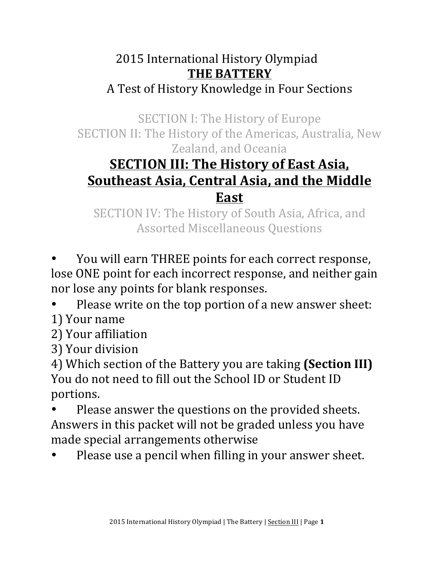## 2015 International History Olympiad **THE BATTERY** A Test of History Knowledge in Four Sections

SECTION I: The History of Europe SECTION II: The History of the Americas, Australia, New Zealand, and Oceania

# **<u>SECTION III: The History of East Asia,</u> <u>Southeast Asia, Central Asia, and the Middle</u> East**

SECTION IV: The History of South Asia, Africa, and **Assorted Miscellaneous Questions** 

You will earn THREE points for each correct response, lose ONE point for each incorrect response, and neither gain nor lose any points for blank responses.

Please write on the top portion of a new answer sheet:

- 1) Your name
- 2) Your affiliation
- 3) Your division

4) Which section of the Battery you are taking (Section III) You do not need to fill out the School ID or Student ID portions. 

- Please answer the questions on the provided sheets. Answers in this packet will not be graded unless you have made special arrangements otherwise
- Please use a pencil when filling in your answer sheet.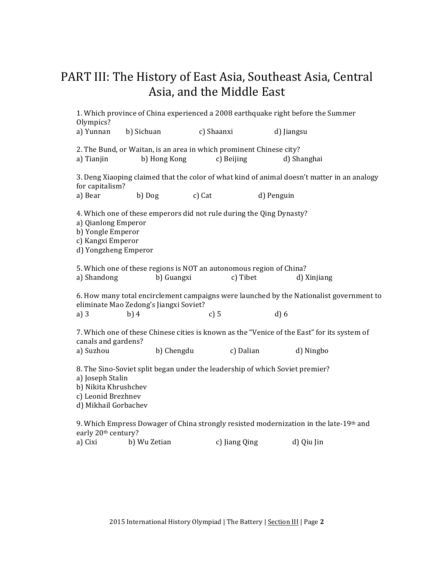### PART III: The History of East Asia, Southeast Asia, Central Asia, and the Middle East

1. Which province of China experienced a 2008 earthquake right before the Summer Olympics? a) Yunnan b) Sichuan c) Shaanxi d) Jiangsu 2. The Bund, or Waitan, is an area in which prominent Chinese city? a) Tianjin b) Hong Kong c) Beijing d) Shanghai 3. Deng Xiaoping claimed that the color of what kind of animal doesn't matter in an analogy for capitalism? a) Bear b) Dog c) Cat d) Penguin 4. Which one of these emperors did not rule during the Qing Dynasty? a) Qianlong Emperor b) Yongle Emperor c) Kangxi Emperor d) Yongzheng Emperor 5. Which one of these regions is NOT an autonomous region of China? a) Shandong b) Guangxi c) Tibet d) Xinjiang 6. How many total encirclement campaigns were launched by the Nationalist government to eliminate Mao Zedong's Jiangxi Soviet? a) 3 b) 4 c) 5 d) 6 7. Which one of these Chinese cities is known as the "Venice of the East" for its system of canals and gardens? a) Suzhou b) Chengdu c) Dalian d) Ningbo 8. The Sino-Soviet split began under the leadership of which Soviet premier? a) Joseph Stalin b) Nikita Khrushchev c) Leonid Brezhnev d) Mikhail Gorbachev 9. Which Empress Dowager of China strongly resisted modernization in the late-19th and early 20<sup>th</sup> century? a) Cixi b) Wu Zetian c) Jiang Qing d) Qiu Jin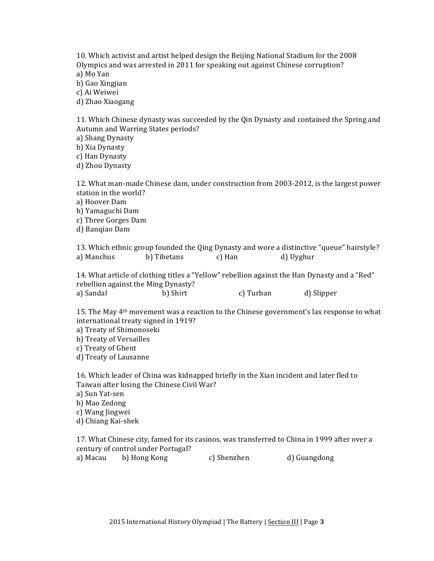10. Which activist and artist helped design the Beijing National Stadium for the 2008 Olympics and was arrested in 2011 for speaking out against Chinese corruption? a) Mo Yan b) Gao Xingjian c) Ai Weiwei d) Zhao Xiaogang

11. Which Chinese dynasty was succeeded by the Qin Dynasty and contained the Spring and Autumn and Warring States periods?

a) Shang Dynasty

b) Xia Dynasty

c) Han Dynasty

d) Zhou Dynasty

12. What man-made Chinese dam, under construction from 2003-2012, is the largest power station in the world? a) Hoover Dam b) Yamaguchi Dam c) Three Gorges Dam

d) Banqiao Dam

13. Which ethnic group founded the Qing Dynasty and wore a distinctive "queue" hairstyle? a) Manchus b) Tibetans c) Han d) Uyghur

14. What article of clothing titles a "Yellow" rebellion against the Han Dynasty and a "Red" rebellion against the Ming Dynasty? a) Sandal b) Shirt c) Turban d) Slipper

15. The May 4<sup>th</sup> movement was a reaction to the Chinese government's lax response to what international treaty signed in 1919?

a) Treaty of Shimonoseki

b) Treaty of Versailles

c) Treaty of Ghent

d) Treaty of Lausanne

16. Which leader of China was kidnapped briefly in the Xian incident and later fled to Taiwan after losing the Chinese Civil War?

a) Sun Yat-sen

b) Mao Zedong

c) Wang Jingwei

d) Chiang Kai-shek

17. What Chinese city, famed for its casinos, was transferred to China in 1999 after over a century of control under Portugal?

a) Macau b) Hong Kong (c) Shenzhen d) Guangdong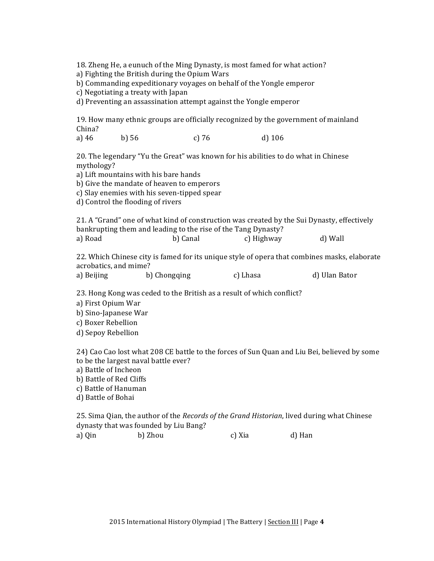18. Zheng He, a eunuch of the Ming Dynasty, is most famed for what action?

a) Fighting the British during the Opium Wars

b) Commanding expeditionary voyages on behalf of the Yongle emperor

c) Negotiating a treaty with Japan

d) Preventing an assassination attempt against the Yongle emperor

19. How many ethnic groups are officially recognized by the government of mainland China?

a) 46 b) 56 c) 76 d) 106

20. The legendary "Yu the Great" was known for his abilities to do what in Chinese mythology?

a) Lift mountains with his bare hands

b) Give the mandate of heaven to emperors

c) Slay enemies with his seven-tipped spear

d) Control the flooding of rivers

21. A "Grand" one of what kind of construction was created by the Sui Dynasty, effectively bankrupting them and leading to the rise of the Tang Dynasty? a) Road b) Canal c) Highway d) Wall

22. Which Chinese city is famed for its unique style of opera that combines masks, elaborate acrobatics, and mime?

| a) Beijing | b) Chongqing | c) Lhasa | d) Ulan Bator |
|------------|--------------|----------|---------------|
|            |              |          |               |

23. Hong Kong was ceded to the British as a result of which conflict?

a) First Opium War

b) Sino-Japanese War

c) Boxer Rebellion

d) Sepoy Rebellion

24) Cao Cao lost what 208 CE battle to the forces of Sun Quan and Liu Bei, believed by some to be the largest naval battle ever?

a) Battle of Incheon

b) Battle of Red Cliffs

c) Battle of Hanuman

d) Battle of Bohai

25. Sima Qian, the author of the *Records of the Grand Historian*, lived during what Chinese dynasty that was founded by Liu Bang?

a) Oin b) Zhou c) Xia d) Han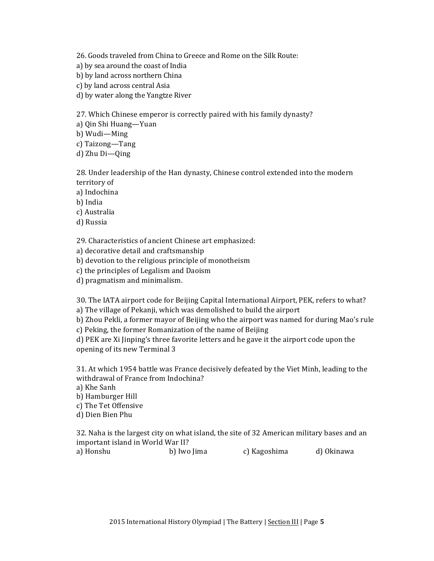26. Goods traveled from China to Greece and Rome on the Silk Route:

- a) by sea around the coast of India
- b) by land across northern China
- c) by land across central Asia
- d) by water along the Yangtze River

27. Which Chinese emperor is correctly paired with his family dynasty?

a) Qin Shi Huang—Yuan

b) Wudi—Ming

c) Taizong-Tang

d) Zhu Di-Qing

28. Under leadership of the Han dynasty, Chinese control extended into the modern territory of

a) Indochina

b) India

c) Australia

d) Russia

29. Characteristics of ancient Chinese art emphasized:

a) decorative detail and craftsmanship

b) devotion to the religious principle of monotheism

c) the principles of Legalism and Daoism

d) pragmatism and minimalism.

30. The IATA airport code for Beijing Capital International Airport, PEK, refers to what? a) The village of Pekanji, which was demolished to build the airport

b) Zhou Pekli, a former mayor of Beijing who the airport was named for during Mao's rule

c) Peking, the former Romanization of the name of Beijing

d) PEK are Xi Jinping's three favorite letters and he gave it the airport code upon the opening of its new Terminal 3

31. At which 1954 battle was France decisively defeated by the Viet Minh, leading to the withdrawal of France from Indochina?

a) Khe Sanh

b) Hamburger Hill

c) The Tet Offensive

d) Dien Bien Phu

32. Naha is the largest city on what island, the site of 32 American military bases and an important island in World War II? a) Honshu b) Iwo Jima c) Kagoshima d) Okinawa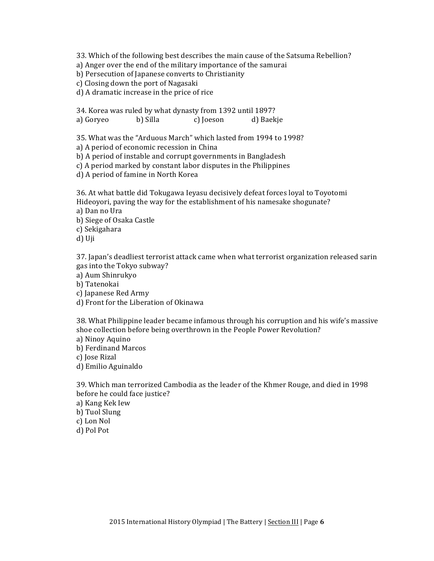33. Which of the following best describes the main cause of the Satsuma Rebellion?

- a) Anger over the end of the military importance of the samurai
- b) Persecution of Japanese converts to Christianity
- c) Closing down the port of Nagasaki
- d) A dramatic increase in the price of rice

34. Korea was ruled by what dynasty from 1392 until 1897? a) Goryeo b) Silla c) Joeson d) Baekje

35. What was the "Arduous March" which lasted from 1994 to 1998?

a) A period of economic recession in China

b) A period of instable and corrupt governments in Bangladesh

c) A period marked by constant labor disputes in the Philippines

d) A period of famine in North Korea

36. At what battle did Tokugawa Ieyasu decisively defeat forces loyal to Toyotomi Hideoyori, paving the way for the establishment of his namesake shogunate? a) Dan no Ura

b) Siege of Osaka Castle

c) Sekigahara

d) Uji

37. Japan's deadliest terrorist attack came when what terrorist organization released sarin gas into the Tokyo subway?

a) Aum Shinrukyo

b) Tatenokai

- c) Iapanese Red Army
- d) Front for the Liberation of Okinawa

38. What Philippine leader became infamous through his corruption and his wife's massive shoe collection before being overthrown in the People Power Revolution?

- a) Ninoy Aquino
- b) Ferdinand Marcos
- c) Jose Rizal
- d) Emilio Aguinaldo

39. Which man terrorized Cambodia as the leader of the Khmer Rouge, and died in 1998 before he could face justice?

- a) Kang Kek Iew
- b) Tuol Slung
- c) Lon Nol
- d) Pol Pot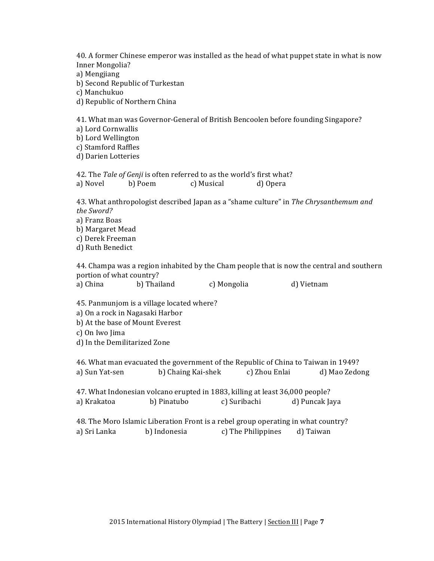40. A former Chinese emperor was installed as the head of what puppet state in what is now Inner Mongolia?

- a) Mengjiang
- b) Second Republic of Turkestan

c) Manchukuo

d) Republic of Northern China

41. What man was Governor-General of British Bencoolen before founding Singapore?

a) Lord Cornwallis

b) Lord Wellington

c) Stamford Raffles

d) Darien Lotteries

42. The Tale of Genji is often referred to as the world's first what? a) Novel b) Poem c) Musical d) Opera

43. What anthropologist described Japan as a "shame culture" in *The Chrysanthemum and the Sword?* a) Franz Boas b) Margaret Mead

c) Derek Freeman

d) Ruth Benedict

44. Champa was a region inhabited by the Cham people that is now the central and southern portion of what country? a) China b) Thailand c) Mongolia d) Vietnam

45. Panmunjom is a village located where?

a) On a rock in Nagasaki Harbor

b) At the base of Mount Everest

c) On Iwo Jima

d) In the Demilitarized Zone

46. What man evacuated the government of the Republic of China to Taiwan in 1949? a) Sun Yat-sen b) Chaing Kai-shek c) Zhou Enlai d) Mao Zedong 47. What Indonesian volcano erupted in 1883, killing at least 36,000 people?

a) Krakatoa b) Pinatubo c) Suribachi d) Puncak Jaya

48. The Moro Islamic Liberation Front is a rebel group operating in what country? a) Sri Lanka b) Indonesia c) The Philippines d) Taiwan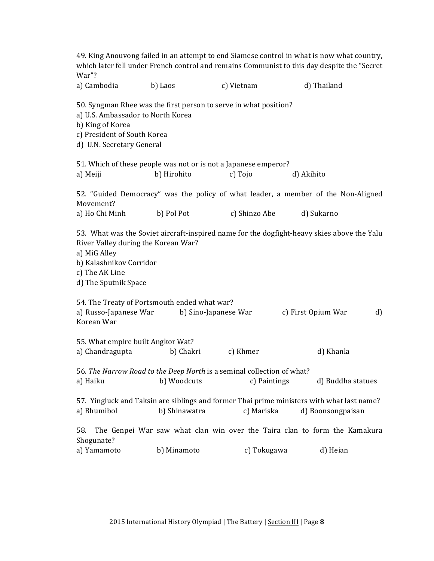| War"?                                                                                                                                                                                 |                      |               | 49. King Anouvong failed in an attempt to end Siamese control in what is now what country,<br>which later fell under French control and remains Communist to this day despite the "Secret |
|---------------------------------------------------------------------------------------------------------------------------------------------------------------------------------------|----------------------|---------------|-------------------------------------------------------------------------------------------------------------------------------------------------------------------------------------------|
| a) Cambodia                                                                                                                                                                           | b) Laos              | c) Vietnam    | d) Thailand                                                                                                                                                                               |
| 50. Syngman Rhee was the first person to serve in what position?<br>a) U.S. Ambassador to North Korea<br>b) King of Korea<br>c) President of South Korea<br>d) U.N. Secretary General |                      |               |                                                                                                                                                                                           |
| 51. Which of these people was not or is not a Japanese emperor?                                                                                                                       |                      |               |                                                                                                                                                                                           |
| a) Meiji                                                                                                                                                                              | b) Hirohito          | c) Tojo       | d) Akihito                                                                                                                                                                                |
| Movement?                                                                                                                                                                             |                      |               | 52. "Guided Democracy" was the policy of what leader, a member of the Non-Aligned                                                                                                         |
| a) Ho Chi Minh                                                                                                                                                                        | b) Pol Pot           | c) Shinzo Abe | d) Sukarno                                                                                                                                                                                |
| River Valley during the Korean War?<br>a) MiG Alley<br>b) Kalashnikov Corridor<br>c) The AK Line<br>d) The Sputnik Space                                                              |                      |               | 53. What was the Soviet aircraft-inspired name for the dogfight-heavy skies above the Yalu                                                                                                |
| 54. The Treaty of Portsmouth ended what war?                                                                                                                                          |                      |               |                                                                                                                                                                                           |
| a) Russo-Japanese War<br>Korean War                                                                                                                                                   | b) Sino-Japanese War |               | c) First Opium War<br>d)                                                                                                                                                                  |
| 55. What empire built Angkor Wat?                                                                                                                                                     |                      |               |                                                                                                                                                                                           |
| a) Chandragupta                                                                                                                                                                       | b) Chakri            | c) Khmer      | d) Khanla                                                                                                                                                                                 |
| 56. The Narrow Road to the Deep North is a seminal collection of what?<br>a) Haiku                                                                                                    | b) Woodcuts          | c) Paintings  | d) Buddha statues                                                                                                                                                                         |
|                                                                                                                                                                                       |                      |               | 57. Yingluck and Taksin are siblings and former Thai prime ministers with what last name?                                                                                                 |
| a) Bhumibol                                                                                                                                                                           | b) Shinawatra        | c) Mariska    | d) Boonsongpaisan                                                                                                                                                                         |
| 58.<br>Shogunate?                                                                                                                                                                     |                      |               | The Genpei War saw what clan win over the Taira clan to form the Kamakura                                                                                                                 |
| a) Yamamoto                                                                                                                                                                           | b) Minamoto          | c) Tokugawa   | d) Heian                                                                                                                                                                                  |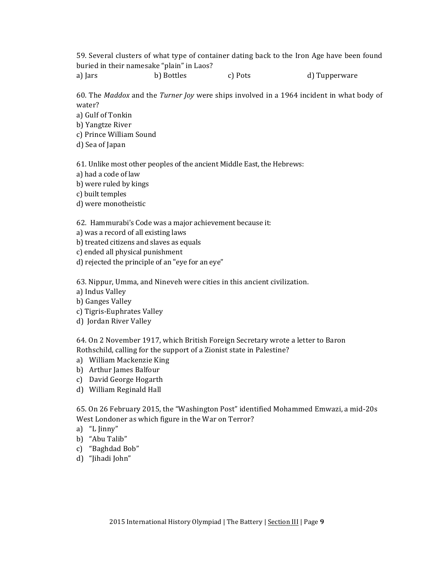59. Several clusters of what type of container dating back to the Iron Age have been found buried in their namesake "plain" in Laos?

a) Jars b) Bottles c) Pots d) Tupperware

60. The *Maddox* and the *Turner Joy* were ships involved in a 1964 incident in what body of water?

a) Gulf of Tonkin

b) Yangtze River

- c) Prince William Sound
- d) Sea of Japan

61. Unlike most other peoples of the ancient Middle East, the Hebrews:

- a) had a code of law
- b) were ruled by kings

c) built temples

d) were monotheistic

62. Hammurabi's Code was a major achievement because it:

- a) was a record of all existing laws
- b) treated citizens and slaves as equals
- c) ended all physical punishment
- d) rejected the principle of an "eye for an eye"

63. Nippur, Umma, and Nineveh were cities in this ancient civilization.

- a) Indus Valley
- b) Ganges Valley
- c) Tigris-Euphrates Valley
- d) Jordan River Valley

64. On 2 November 1917, which British Foreign Secretary wrote a letter to Baron Rothschild, calling for the support of a Zionist state in Palestine?

- a) William Mackenzie King
- b) Arthur James Balfour
- c) David George Hogarth
- d) William Reginald Hall

65. On 26 February 2015, the "Washington Post" identified Mohammed Emwazi, a mid-20s West Londoner as which figure in the War on Terror?

- a) "L Jinny"
- b) "Abu Talib"
- c) "Baghdad Bob"
- d) "Jihadi John"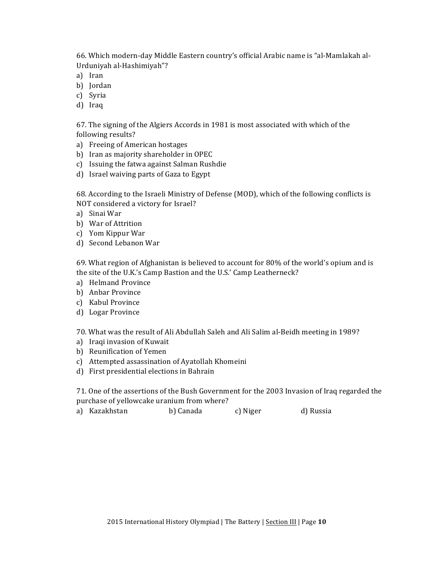66. Which modern-day Middle Eastern country's official Arabic name is "al-Mamlakah al-Urduniyah al-Hashimiyah"?

- a) Iran
- b) Jordan
- c) Syria
- d) Iraq

67. The signing of the Algiers Accords in 1981 is most associated with which of the following results?

- a) Freeing of American hostages
- b) Iran as majority shareholder in OPEC
- c) Issuing the fatwa against Salman Rushdie
- d) Israel waiving parts of Gaza to Egypt

68. According to the Israeli Ministry of Defense (MOD), which of the following conflicts is NOT considered a victory for Israel?

- a) Sinai War
- b) War of Attrition
- c) Yom Kippur War
- d) Second Lebanon War

69. What region of Afghanistan is believed to account for 80% of the world's opium and is the site of the U.K.'s Camp Bastion and the U.S.' Camp Leatherneck?

- a) Helmand Province
- b) Anbar Province
- c) Kabul Province
- d) Logar Province

70. What was the result of Ali Abdullah Saleh and Ali Salim al-Beidh meeting in 1989?

- a) Iraqi invasion of Kuwait
- b) Reunification of Yemen
- c) Attempted assassination of Ayatollah Khomeini
- d) First presidential elections in Bahrain

71. One of the assertions of the Bush Government for the 2003 Invasion of Iraq regarded the purchase of yellowcake uranium from where?

a) Kazakhstan b) Canada c) Niger d) Russia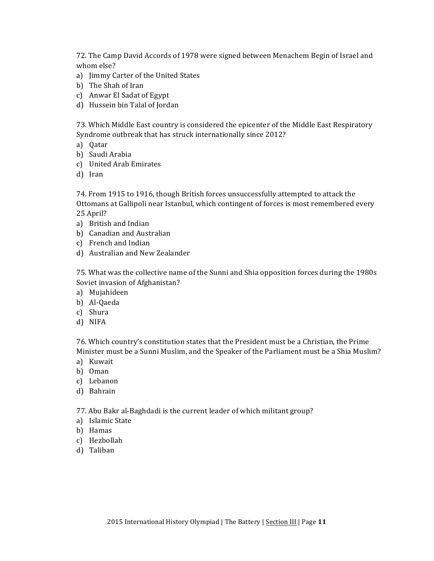72. The Camp David Accords of 1978 were signed between Menachem Begin of Israel and whom else?

- a) Jimmy Carter of the United States
- b) The Shah of Iran
- c) Anwar El Sadat of Egypt
- d) Hussein bin Talal of Jordan

73. Which Middle East country is considered the epicenter of the Middle East Respiratory Syndrome outbreak that has struck internationally since 2012?

- a) Qatar
- b) Saudi Arabia
- c) United Arab Emirates
- d) Iran

74. From 1915 to 1916, though British forces unsuccessfully attempted to attack the Ottomans at Gallipoli near Istanbul, which contingent of forces is most remembered every 25 April?

- a) British and Indian
- b) Canadian and Australian
- c) French and Indian
- d) Australian and New Zealander

75. What was the collective name of the Sunni and Shia opposition forces during the 1980s Soviet invasion of Afghanistan?

- a) Mujahideen
- b) Al-Qaeda
- c) Shura
- d) NIFA

76. Which country's constitution states that the President must be a Christian, the Prime Minister must be a Sunni Muslim, and the Speaker of the Parliament must be a Shia Muslim?

- a) Kuwait
- b) Oman
- c) Lebanon
- d) Bahrain

77. Abu Bakr al-Baghdadi is the current leader of which militant group?

- a) Islamic State
- b) Hamas
- c) Hezbollah
- d) Taliban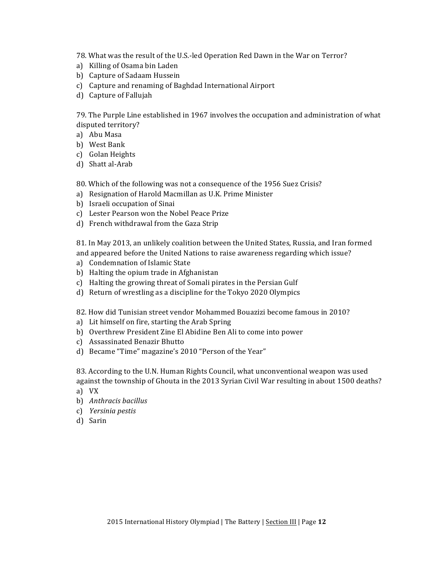78. What was the result of the U.S.-led Operation Red Dawn in the War on Terror?

- a) Killing of Osama bin Laden
- b) Capture of Sadaam Hussein
- c) Capture and renaming of Baghdad International Airport
- d) Capture of Fallujah

79. The Purple Line established in 1967 involves the occupation and administration of what disputed territory?

- a) Abu Masa
- b) West Bank
- c) Golan Heights
- d) Shatt al-Arab

80. Which of the following was not a consequence of the 1956 Suez Crisis?

- a) Resignation of Harold Macmillan as U.K. Prime Minister
- b) Israeli occupation of Sinai
- c) Lester Pearson won the Nobel Peace Prize
- d) French withdrawal from the Gaza Strip

81. In May 2013, an unlikely coalition between the United States, Russia, and Iran formed and appeared before the United Nations to raise awareness regarding which issue?

- a) Condemnation of Islamic State
- b) Halting the opium trade in Afghanistan
- c) Halting the growing threat of Somali pirates in the Persian Gulf
- d) Return of wrestling as a discipline for the Tokyo 2020 Olympics

82. How did Tunisian street vendor Mohammed Bouazizi become famous in 2010?

- a) Lit himself on fire, starting the Arab Spring
- b) Overthrew President Zine El Abidine Ben Ali to come into power
- c) Assassinated Benazir Bhutto
- d) Became "Time" magazine's 2010 "Person of the Year"

83. According to the U.N. Human Rights Council, what unconventional weapon was used against the township of Ghouta in the 2013 Syrian Civil War resulting in about 1500 deaths?

- a) VX
- b) *Anthracis bacillus*
- c) *Yersinia pestis*
- d) Sarin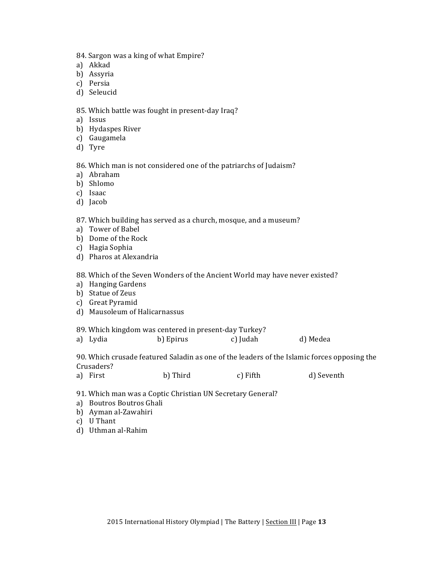- 84. Sargon was a king of what Empire?
- a) Akkad
- b) Assyria
- c) Persia
- d) Seleucid

#### 85. Which battle was fought in present-day Iraq?

- a) Issus
- b) Hydaspes River
- c) Gaugamela
- d) Tyre

#### 86. Which man is not considered one of the patriarchs of Judaism?

- a) Abraham
- b) Shlomo
- c) Isaac
- d) Jacob

87. Which building has served as a church, mosque, and a museum?

- a) Tower of Babel
- b) Dome of the Rock
- c) Hagia Sophia
- d) Pharos at Alexandria

#### 88. Which of the Seven Wonders of the Ancient World may have never existed?

- a) Hanging Gardens
- b) Statue of Zeus
- c) Great Pyramid
- d) Mausoleum of Halicarnassus
- 89. Which kingdom was centered in present-day Turkey?
- a) Lydia b) Epirus c) Judah d) Medea

90. Which crusade featured Saladin as one of the leaders of the Islamic forces opposing the Crusaders?

- a) First b) Third c) Fifth d) Seventh
- 91. Which man was a Coptic Christian UN Secretary General?
- a) Boutros Boutros Ghali
- b) Ayman al-Zawahiri
- c) U Thant
- d) Uthman al-Rahim